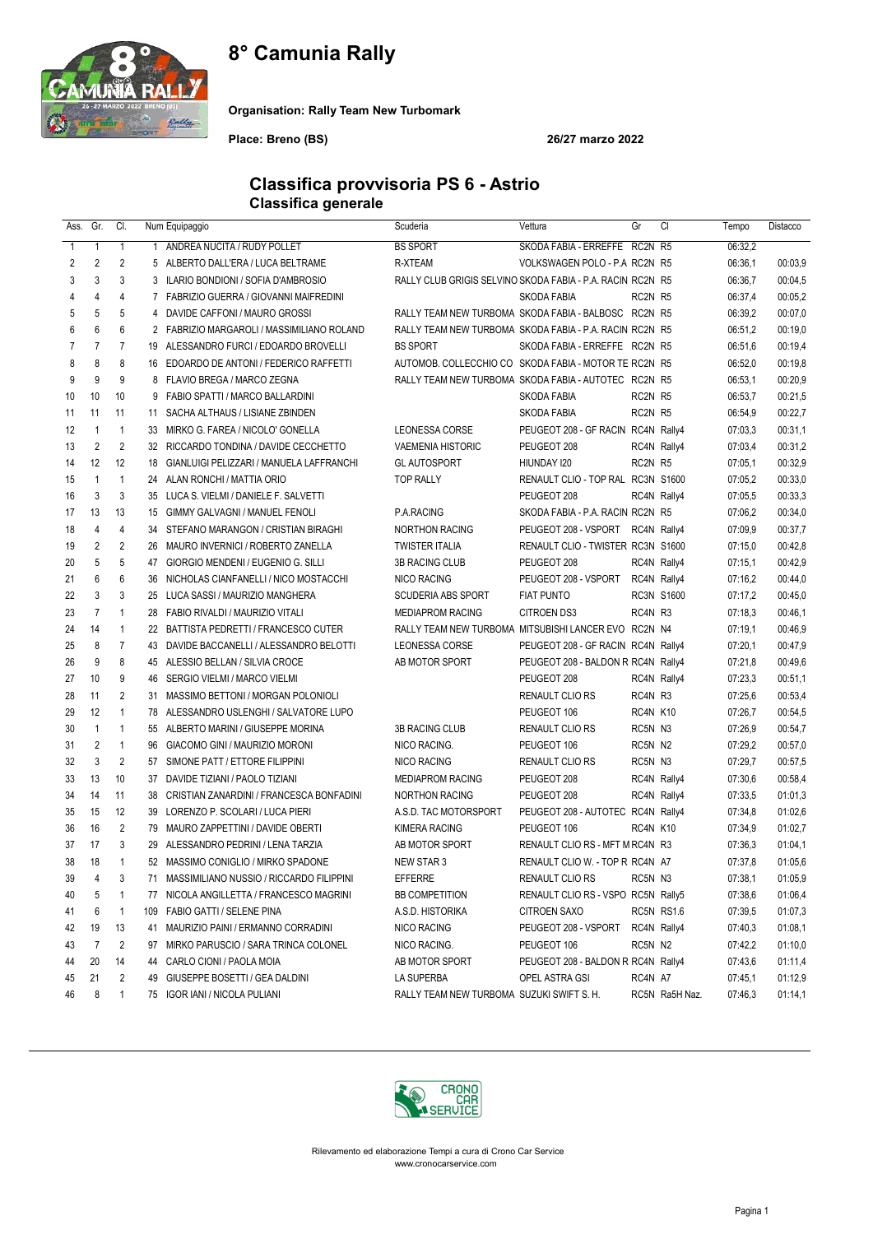## 8° Camunia Rally



Organisation: Rally Team New Turbomark

Place: Breno (BS) 26/27 marzo 2022

### Classifica provvisoria PS 6 - Astrio Classifica generale

| Ass.         | Gr.            | CI.            |     | Num Equipaggio                              | Scuderia                                                   | Vettura                            | Gr       | CI                | Tempo   | Distacco |
|--------------|----------------|----------------|-----|---------------------------------------------|------------------------------------------------------------|------------------------------------|----------|-------------------|---------|----------|
| $\mathbf{1}$ | $\mathbf{1}$   | $\mathbf{1}$   | 1   | ANDREA NUCITA / RUDY POLLET                 | <b>BS SPORT</b>                                            | SKODA FABIA - ERREFFE RC2N R5      |          |                   | 06:32,2 |          |
| 2            | $\overline{2}$ | 2              |     | 5 ALBERTO DALL'ERA / LUCA BELTRAME          | R-XTEAM                                                    | VOLKSWAGEN POLO - P.A RC2N R5      |          |                   | 06:36,1 | 00:03,9  |
| 3            | 3              | 3              |     | 3 ILARIO BONDIONI / SOFIA D'AMBROSIO        | RALLY CLUB GRIGIS SELVINO SKODA FABIA - P.A. RACIN RC2N R5 |                                    |          |                   | 06:36,7 | 00:04,5  |
| 4            | 4              | 4              |     | 7 FABRIZIO GUERRA / GIOVANNI MAIFREDINI     |                                                            | SKODA FABIA                        | RC2N R5  |                   | 06:37,4 | 00:05.2  |
| 5            | 5              | 5              |     | 4 DAVIDE CAFFONI / MAURO GROSSI             | RALLY TEAM NEW TURBOMA SKODA FABIA - BALBOSC RC2N R5       |                                    |          |                   | 06:39,2 | 00:07.0  |
| 6            | 6              | 6              |     | 2 FABRIZIO MARGAROLI / MASSIMILIANO ROLAND  | RALLY TEAM NEW TURBOMA SKODA FABIA - P.A. RACIN RC2N R5    |                                    |          |                   | 06:51,2 | 00:19,0  |
| 7            | $\overline{7}$ | $\overline{7}$ |     | 19 ALESSANDRO FURCI / EDOARDO BROVELLI      | <b>BS SPORT</b>                                            | SKODA FABIA - ERREFFE RC2N R5      |          |                   | 06:51,6 | 00:19,4  |
| 8            | 8              | 8              |     | 16 EDOARDO DE ANTONI / FEDERICO RAFFETTI    | AUTOMOB. COLLECCHIO CO SKODA FABIA - MOTOR TE RC2N R5      |                                    |          |                   | 06:52,0 | 00:19,8  |
| 9            | 9              | 9              |     | 8 FLAVIO BREGA / MARCO ZEGNA                | RALLY TEAM NEW TURBOMA SKODA FABIA - AUTOTEC RC2N R5       |                                    |          |                   | 06:53,1 | 00:20,9  |
| 10           | 10             | 10             |     | 9 FABIO SPATTI / MARCO BALLARDINI           |                                                            | SKODA FABIA                        | RC2N R5  |                   | 06:53,7 | 00:21,5  |
| 11           | 11             | 11             | 11  | SACHA ALTHAUS / LISIANE ZBINDEN             |                                                            | <b>SKODA FABIA</b>                 | RC2N R5  |                   | 06:54,9 | 00:22,7  |
| 12           | $\mathbf{1}$   | $\mathbf{1}$   |     | 33 MIRKO G. FAREA / NICOLO' GONELLA         | LEONESSA CORSE                                             | PEUGEOT 208 - GF RACIN RC4N Rally4 |          |                   | 07:03.3 | 00:31,1  |
| 13           | $\overline{2}$ | $\overline{2}$ |     | 32 RICCARDO TONDINA / DAVIDE CECCHETTO      | <b>VAEMENIA HISTORIC</b>                                   | PEUGEOT 208                        |          | RC4N Rally4       | 07:03,4 | 00:31,2  |
| 14           | 12             | 12             |     | 18 GIANLUIGI PELIZZARI / MANUELA LAFFRANCHI | <b>GL AUTOSPORT</b>                                        | HIUNDAY 120                        | RC2N R5  |                   | 07:05,1 | 00:32,9  |
| 15           | $\mathbf{1}$   | $\overline{1}$ |     | 24 ALAN RONCHI / MATTIA ORIO                | <b>TOP RALLY</b>                                           | RENAULT CLIO - TOP RAL RC3N S1600  |          |                   | 07:05.2 | 00:33,0  |
| 16           | 3              | 3              |     | 35 LUCA S. VIELMI / DANIELE F. SALVETTI     |                                                            | PEUGEOT 208                        |          | RC4N Rally4       | 07:05.5 | 00:33,3  |
| 17           | 13             | 13             |     | 15 GIMMY GALVAGNI / MANUEL FENOLI           | P.A.RACING                                                 | SKODA FABIA - P.A. RACIN RC2N R5   |          |                   | 07:06.2 | 00:34,0  |
| 18           | 4              | 4              |     | 34 STEFANO MARANGON / CRISTIAN BIRAGHI      | <b>NORTHON RACING</b>                                      | PEUGEOT 208 - VSPORT RC4N Rally4   |          |                   | 07:09.9 | 00:37,7  |
| 19           | $\overline{2}$ | 2              |     | 26 MAURO INVERNICI / ROBERTO ZANELLA        | <b>TWISTER ITALIA</b>                                      | RENAULT CLIO - TWISTER RC3N S1600  |          |                   | 07:15.0 | 00:42,8  |
| 20           | 5              | 5              |     | 47 GIORGIO MENDENI / EUGENIO G. SILLI       | <b>3B RACING CLUB</b>                                      | PEUGEOT 208                        |          | RC4N Rally4       | 07:15,1 | 00:42,9  |
| 21           | 6              | 6              |     | 36 NICHOLAS CIANFANELLI / NICO MOSTACCHI    | <b>NICO RACING</b>                                         | PEUGEOT 208 - VSPORT               |          | RC4N Rally4       | 07:16,2 | 00:44,0  |
| 22           | 3              | 3              |     | 25 LUCA SASSI / MAURIZIO MANGHERA           | <b>SCUDERIA ABS SPORT</b>                                  | <b>FIAT PUNTO</b>                  |          | <b>RC3N S1600</b> | 07:17.2 | 00:45,0  |
| 23           | $\overline{7}$ | $\mathbf{1}$   |     | 28 FABIO RIVALDI / MAURIZIO VITALI          | <b>MEDIAPROM RACING</b>                                    | <b>CITROEN DS3</b>                 | RC4N R3  |                   | 07:18,3 | 00:46,1  |
| 24           | 14             | $\mathbf{1}$   |     | 22 BATTISTA PEDRETTI / FRANCESCO CUTER      | RALLY TEAM NEW TURBOMA MITSUBISHI LANCER EVO RC2N N4       |                                    |          |                   | 07:19,1 | 00:46,9  |
| 25           | 8              | $\overline{7}$ |     | 43 DAVIDE BACCANELLI / ALESSANDRO BELOTTI   | <b>LEONESSA CORSE</b>                                      | PEUGEOT 208 - GF RACIN RC4N Rally4 |          |                   | 07:20,1 | 00:47,9  |
| 26           | 9              | 8              |     | 45 ALESSIO BELLAN / SILVIA CROCE            | AB MOTOR SPORT                                             | PEUGEOT 208 - BALDON R RC4N Rally4 |          |                   | 07:21,8 | 00:49,6  |
| 27           | 10             | 9              | 46  | SERGIO VIELMI / MARCO VIELMI                |                                                            | PEUGEOT 208                        |          | RC4N Rally4       | 07:23,3 | 00:51,1  |
| 28           | 11             | $\overline{2}$ | 31  | MASSIMO BETTONI / MORGAN POLONIOLI          |                                                            | RENAULT CLIO RS                    | RC4N R3  |                   | 07:25.6 | 00:53,4  |
| 29           | 12             | $\mathbf{1}$   |     | 78 ALESSANDRO USLENGHI / SALVATORE LUPO     |                                                            | PEUGEOT 106                        | RC4N K10 |                   | 07:26,7 | 00:54,5  |
| 30           | $\mathbf{1}$   | $\mathbf{1}$   |     | 55 ALBERTO MARINI / GIUSEPPE MORINA         | <b>3B RACING CLUB</b>                                      | RENAULT CLIO RS                    | RC5N N3  |                   | 07:26,9 | 00:54,7  |
| 31           | $\overline{2}$ | $\mathbf{1}$   |     | 96 GIACOMO GINI / MAURIZIO MORONI           | NICO RACING.                                               | PEUGEOT 106                        | RC5N N2  |                   | 07:29,2 | 00:57,0  |
| 32           | 3              | $\overline{2}$ |     | 57 SIMONE PATT / ETTORE FILIPPINI           | NICO RACING                                                | RENAULT CLIO RS                    | RC5N N3  |                   | 07:29,7 | 00:57,5  |
| 33           | 13             | 10             |     | 37 DAVIDE TIZIANI / PAOLO TIZIANI           | <b>MEDIAPROM RACING</b>                                    | PEUGEOT 208                        |          | RC4N Rally4       | 07:30.6 | 00:58,4  |
| 34           | 14             | 11             |     | 38 CRISTIAN ZANARDINI / FRANCESCA BONFADINI | <b>NORTHON RACING</b>                                      | PEUGEOT 208                        |          | RC4N Rally4       | 07:33,5 | 01:01,3  |
| 35           | 15             | 12             |     | 39 LORENZO P. SCOLARI / LUCA PIERI          | A.S.D. TAC MOTORSPORT                                      | PEUGEOT 208 - AUTOTEC RC4N Rally4  |          |                   | 07:34,8 | 01:02,6  |
| 36           | 16             | 2              |     | 79 MAURO ZAPPETTINI / DAVIDE OBERTI         | <b>KIMERA RACING</b>                                       | PEUGEOT 106                        | RC4N K10 |                   | 07:34,9 | 01:02,7  |
| 37           | 17             | 3              |     | 29 ALESSANDRO PEDRINI / LENA TARZIA         | AB MOTOR SPORT                                             | RENAULT CLIO RS - MFT M RC4N R3    |          |                   | 07:36,3 | 01:04,1  |
| 38           | 18             | $\mathbf{1}$   |     | 52 MASSIMO CONIGLIO / MIRKO SPADONE         | NEW STAR 3                                                 | RENAULT CLIO W. - TOP R RC4N A7    |          |                   | 07:37,8 | 01:05.6  |
| 39           | $\overline{4}$ | 3              |     | 71 MASSIMILIANO NUSSIO / RICCARDO FILIPPINI | EFFERRE                                                    | RENAULT CLIO RS                    | RC5N N3  |                   | 07:38,1 | 01:05,9  |
| 40           | 5              | $\overline{1}$ |     | 77 NICOLA ANGILLETTA / FRANCESCO MAGRINI    | <b>BB COMPETITION</b>                                      | RENAULT CLIO RS - VSPO RC5N Rally5 |          |                   | 07:38,6 | 01:06,4  |
| 41           | 6              | $\mathbf{1}$   | 109 | FABIO GATTI / SELENE PINA                   | A.S.D. HISTORIKA                                           | CITROEN SAXO                       |          | RC5N RS1.6        | 07:39,5 | 01:07.3  |
| 42           | 19             | 13             | 41  | MAURIZIO PAINI / ERMANNO CORRADINI          | NICO RACING                                                | PEUGEOT 208 - VSPORT               |          | RC4N Rally4       | 07:40,3 | 01:08,1  |
| 43           | 7              | 2              | 97  | MIRKO PARUSCIO / SARA TRINCA COLONEL        | NICO RACING.                                               | PEUGEOT 106                        | RC5N N2  |                   | 07:42,2 | 01:10,0  |
| 44           | 20             | 14             |     | 44 CARLO CIONI / PAOLA MOIA                 | AB MOTOR SPORT                                             | PEUGEOT 208 - BALDON R RC4N Rally4 |          |                   | 07:43,6 | 01:11,4  |
| 45           | 21             | 2              |     | 49 GIUSEPPE BOSETTI / GEA DALDINI           | LA SUPERBA                                                 | OPEL ASTRA GSI                     | RC4N A7  |                   | 07:45,1 | 01:12,9  |
| 46           | 8              | $\mathbf{1}$   |     | 75 IGOR IANI / NICOLA PULIANI               | RALLY TEAM NEW TURBOMA SUZUKI SWIFT S. H.                  |                                    |          | RC5N Ra5H Naz.    | 07:46,3 | 01:14,1  |